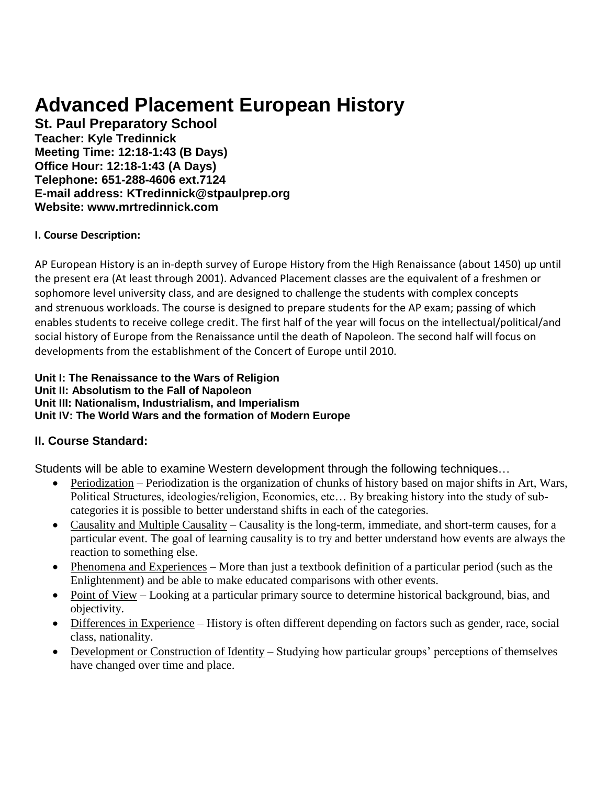# **Advanced Placement European History**

**St. Paul Preparatory School Teacher: Kyle Tredinnick Meeting Time: 12:18-1:43 (B Days) Office Hour: 12:18-1:43 (A Days) Telephone: 651-288-4606 ext.7124 E-mail address: KTredinnick@stpaulprep.org Website: www.mrtredinnick.com**

## **I. Course Description:**

AP European History is an in-depth survey of Europe History from the High Renaissance (about 1450) up until the present era (At least through 2001). Advanced Placement classes are the equivalent of a freshmen or sophomore level university class, and are designed to challenge the students with complex concepts and strenuous workloads. The course is designed to prepare students for the AP exam; passing of which enables students to receive college credit. The first half of the year will focus on the intellectual/political/and social history of Europe from the Renaissance until the death of Napoleon. The second half will focus on developments from the establishment of the Concert of Europe until 2010.

#### **Unit I: The Renaissance to the Wars of Religion Unit II: Absolutism to the Fall of Napoleon Unit III: Nationalism, Industrialism, and Imperialism Unit IV: The World Wars and the formation of Modern Europe**

# **II. Course Standard:**

Students will be able to examine Western development through the following techniques…

- Periodization Periodization is the organization of chunks of history based on major shifts in Art, Wars, Political Structures, ideologies/religion, Economics, etc… By breaking history into the study of subcategories it is possible to better understand shifts in each of the categories.
- Causality and Multiple Causality Causality is the long-term, immediate, and short-term causes, for a particular event. The goal of learning causality is to try and better understand how events are always the reaction to something else.
- Phenomena and Experiences More than just a textbook definition of a particular period (such as the Enlightenment) and be able to make educated comparisons with other events.
- Point of View Looking at a particular primary source to determine historical background, bias, and objectivity.
- Differences in Experience History is often different depending on factors such as gender, race, social class, nationality.
- Development or Construction of Identity Studying how particular groups' perceptions of themselves have changed over time and place.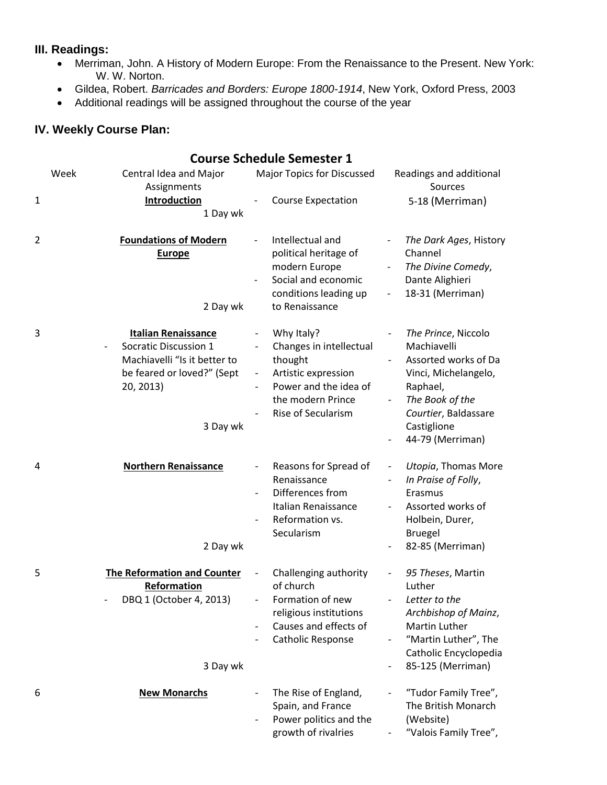## **III. Readings:**

- Merriman, John. A History of Modern Europe: From the Renaissance to the Present. New York: W. W. Norton.
- Gildea, Robert. *Barricades and Borders: Europe 1800-1914*, New York, Oxford Press, 2003
- Additional readings will be assigned throughout the course of the year

# **IV. Weekly Course Plan:**

|   |      |                                                                                                                                            | <b>Course Schedule Semester 1</b>                                                                                                           |                          |                                                                                                                                                                              |
|---|------|--------------------------------------------------------------------------------------------------------------------------------------------|---------------------------------------------------------------------------------------------------------------------------------------------|--------------------------|------------------------------------------------------------------------------------------------------------------------------------------------------------------------------|
| 1 | Week | Central Idea and Major<br>Assignments<br>Introduction<br>1 Day wk                                                                          | <b>Major Topics for Discussed</b><br><b>Course Expectation</b>                                                                              |                          | Readings and additional<br>Sources<br>5-18 (Merriman)                                                                                                                        |
| 2 |      | <b>Foundations of Modern</b><br><b>Europe</b><br>2 Day wk                                                                                  | Intellectual and<br>political heritage of<br>modern Europe<br>Social and economic<br>conditions leading up<br>to Renaissance                | $\overline{\phantom{a}}$ | The Dark Ages, History<br>Channel<br>The Divine Comedy,<br>Dante Alighieri<br>18-31 (Merriman)                                                                               |
| 3 |      | <b>Italian Renaissance</b><br>Socratic Discussion 1<br>Machiavelli "Is it better to<br>be feared or loved?" (Sept<br>20, 2013)<br>3 Day wk | Why Italy?<br>Changes in intellectual<br>thought<br>Artistic expression<br>Power and the idea of<br>the modern Prince<br>Rise of Secularism |                          | The Prince, Niccolo<br>Machiavelli<br>Assorted works of Da<br>Vinci, Michelangelo,<br>Raphael,<br>The Book of the<br>Courtier, Baldassare<br>Castiglione<br>44-79 (Merriman) |
| 4 |      | <b>Northern Renaissance</b><br>2 Day wk                                                                                                    | Reasons for Spread of<br>Renaissance<br>Differences from<br>Italian Renaissance<br>Reformation vs.<br>Secularism                            |                          | Utopia, Thomas More<br>In Praise of Folly,<br>Erasmus<br>Assorted works of<br>Holbein, Durer,<br><b>Bruegel</b><br>82-85 (Merriman)                                          |
| 5 |      | <b>The Reformation and Counter</b><br>Reformation<br>DBQ 1 (October 4, 2013)<br>3 Day wk                                                   | Challenging authority<br>of church<br>Formation of new<br>religious institutions<br>Causes and effects of<br>Catholic Response              |                          | 95 Theses, Martin<br>Luther<br>Letter to the<br>Archbishop of Mainz,<br>Martin Luther<br>"Martin Luther", The<br>Catholic Encyclopedia<br>85-125 (Merriman)                  |
| 6 |      | <b>New Monarchs</b>                                                                                                                        | The Rise of England,<br>Spain, and France<br>Power politics and the<br>growth of rivalries                                                  |                          | "Tudor Family Tree",<br>The British Monarch<br>(Website)<br>"Valois Family Tree",                                                                                            |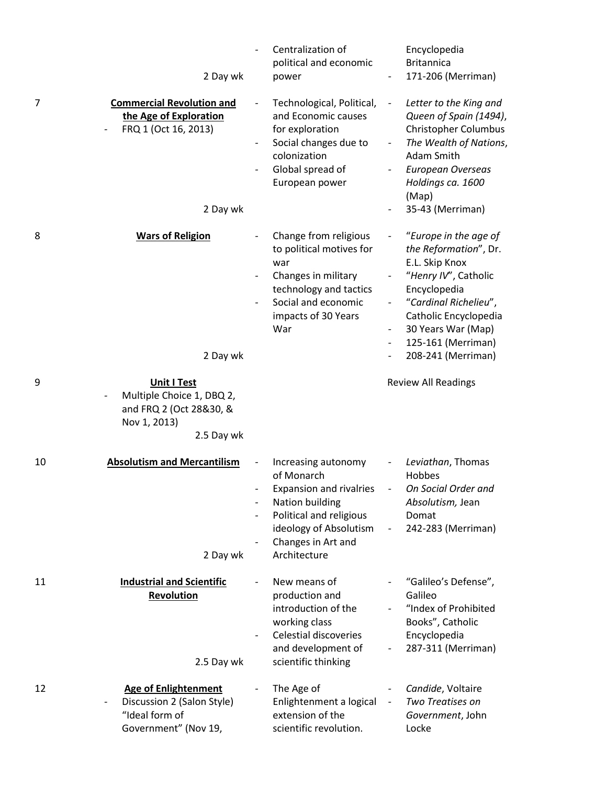|    | 2 Day wk                                                                                                 | Centralization of<br>political and economic<br>power                                                                                                                              |                                                                                  | Encyclopedia<br><b>Britannica</b><br>171-206 (Merriman)                                                                                                                                                                      |
|----|----------------------------------------------------------------------------------------------------------|-----------------------------------------------------------------------------------------------------------------------------------------------------------------------------------|----------------------------------------------------------------------------------|------------------------------------------------------------------------------------------------------------------------------------------------------------------------------------------------------------------------------|
| 7  | <b>Commercial Revolution and</b><br>the Age of Exploration<br>FRQ 1 (Oct 16, 2013)<br>2 Day wk           | Technological, Political,<br>and Economic causes<br>for exploration<br>Social changes due to<br>colonization<br>Global spread of<br>European power                                | $\overline{\phantom{a}}$<br>$\overline{\phantom{a}}$<br>$\overline{\phantom{a}}$ | Letter to the King and<br>Queen of Spain (1494),<br>Christopher Columbus<br>The Wealth of Nations,<br>Adam Smith<br><b>European Overseas</b><br>Holdings ca. 1600<br>(Map)<br>35-43 (Merriman)                               |
| 8  | <b>Wars of Religion</b><br>2 Day wk                                                                      | Change from religious<br>to political motives for<br>war<br>Changes in military<br>technology and tactics<br>Social and economic<br>impacts of 30 Years<br>War                    | $\overline{\phantom{a}}$<br>$\overline{\phantom{a}}$<br>$\overline{\phantom{a}}$ | "Europe in the age of<br>the Reformation", Dr.<br>E.L. Skip Knox<br>"Henry IV", Catholic<br>Encyclopedia<br>"Cardinal Richelieu",<br>Catholic Encyclopedia<br>30 Years War (Map)<br>125-161 (Merriman)<br>208-241 (Merriman) |
| 9  | <b>Unit I Test</b><br>Multiple Choice 1, DBQ 2,<br>and FRQ 2 (Oct 28&30, &<br>Nov 1, 2013)<br>2.5 Day wk |                                                                                                                                                                                   |                                                                                  | <b>Review All Readings</b>                                                                                                                                                                                                   |
| 10 | <b>Absolutism and Mercantilism</b><br>2 Day wk                                                           | Increasing autonomy<br>of Monarch<br><b>Expansion and rivalries</b><br>Nation building<br>Political and religious<br>ideology of Absolutism<br>Changes in Art and<br>Architecture |                                                                                  | Leviathan, Thomas<br>Hobbes<br>On Social Order and<br>Absolutism, Jean<br>Domat<br>242-283 (Merriman)                                                                                                                        |
| 11 | <b>Industrial and Scientific</b><br>Revolution<br>2.5 Day wk                                             | New means of<br>production and<br>introduction of the<br>working class<br>Celestial discoveries<br>and development of<br>scientific thinking                                      |                                                                                  | "Galileo's Defense",<br>Galileo<br>"Index of Prohibited<br>Books", Catholic<br>Encyclopedia<br>287-311 (Merriman)                                                                                                            |
| 12 | <b>Age of Enlightenment</b><br>Discussion 2 (Salon Style)<br>"Ideal form of<br>Government" (Nov 19,      | The Age of<br>Enlightenment a logical<br>extension of the<br>scientific revolution.                                                                                               | $\overline{\phantom{a}}$                                                         | Candide, Voltaire<br>Two Treatises on<br>Government, John<br>Locke                                                                                                                                                           |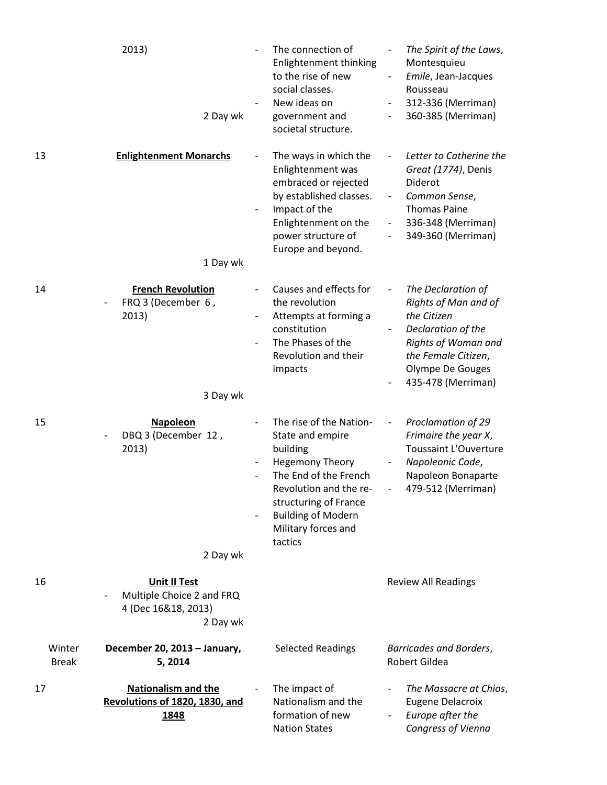|                        | 2013)<br>2 Day wk                                                                   | The connection of<br>Enlightenment thinking<br>to the rise of new<br>social classes.<br>New ideas on<br>government and<br>societal structure.                                                                                | $\overline{\phantom{a}}$<br>$\overline{a}$ | The Spirit of the Laws,<br>Montesquieu<br>Emile, Jean-Jacques<br>Rousseau<br>312-336 (Merriman)<br>360-385 (Merriman)                                                   |
|------------------------|-------------------------------------------------------------------------------------|------------------------------------------------------------------------------------------------------------------------------------------------------------------------------------------------------------------------------|--------------------------------------------|-------------------------------------------------------------------------------------------------------------------------------------------------------------------------|
| 13                     | <b>Enlightenment Monarchs</b><br>1 Day wk                                           | The ways in which the<br>Enlightenment was<br>embraced or rejected<br>by established classes.<br>Impact of the<br>Enlightenment on the<br>power structure of<br>Europe and beyond.                                           | $\qquad \qquad \blacksquare$               | Letter to Catherine the<br>Great (1774), Denis<br>Diderot<br>Common Sense,<br><b>Thomas Paine</b><br>336-348 (Merriman)<br>349-360 (Merriman)                           |
| 14                     | <b>French Revolution</b><br>FRQ 3 (December 6,<br>2013)<br>3 Day wk                 | Causes and effects for<br>the revolution<br>Attempts at forming a<br>constitution<br>The Phases of the<br>Revolution and their<br>impacts                                                                                    |                                            | The Declaration of<br>Rights of Man and of<br>the Citizen<br>Declaration of the<br>Rights of Woman and<br>the Female Citizen,<br>Olympe De Gouges<br>435-478 (Merriman) |
| 15                     | <b>Napoleon</b><br>DBQ 3 (December 12,<br>2013)<br>2 Day wk                         | The rise of the Nation-<br>State and empire<br>building<br><b>Hegemony Theory</b><br>The End of the French<br>Revolution and the re-<br>structuring of France<br><b>Building of Modern</b><br>Military forces and<br>tactics | $\overline{\phantom{a}}$                   | Proclamation of 29<br>Frimaire the year X,<br><b>Toussaint L'Ouverture</b><br>Napoleonic Code,<br>Napoleon Bonaparte<br>479-512 (Merriman)                              |
| 16                     | <b>Unit II Test</b><br>Multiple Choice 2 and FRQ<br>4 (Dec 16&18, 2013)<br>2 Day wk |                                                                                                                                                                                                                              |                                            | <b>Review All Readings</b>                                                                                                                                              |
| Winter<br><b>Break</b> | December 20, 2013 - January,<br>5,2014                                              | <b>Selected Readings</b>                                                                                                                                                                                                     |                                            | <b>Barricades and Borders,</b><br>Robert Gildea                                                                                                                         |
| 17                     | <b>Nationalism and the</b><br>Revolutions of 1820, 1830, and<br>1848                | The impact of<br>Nationalism and the<br>formation of new<br><b>Nation States</b>                                                                                                                                             | $\overline{\phantom{a}}$                   | The Massacre at Chios,<br><b>Eugene Delacroix</b><br>Europe after the<br>Congress of Vienna                                                                             |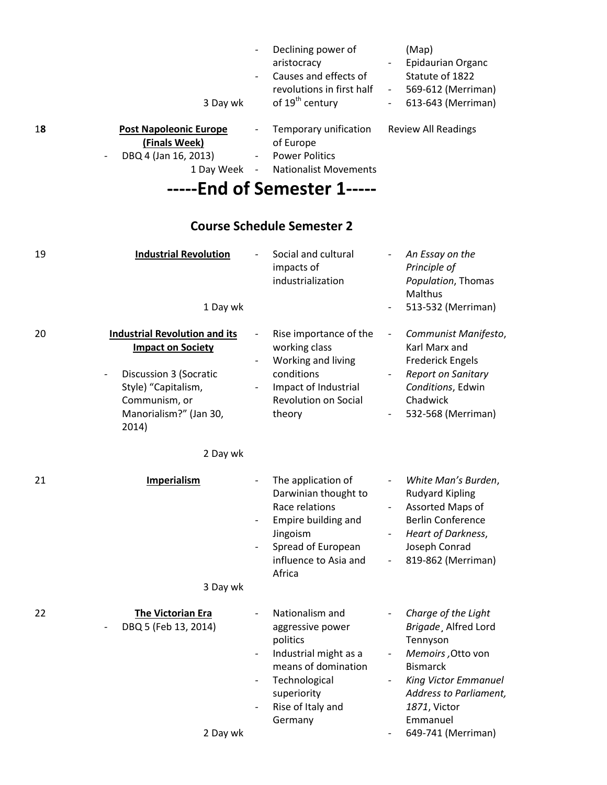|    | 3 Day wk                                                                                                           | $\overline{\phantom{0}}$<br>$\overline{\phantom{a}}$ | Declining power of<br>aristocracy<br>Causes and effects of<br>revolutions in first half<br>of 19 <sup>th</sup> century     | $\sim 100$<br>$\overline{\phantom{0}}$ | (Map)<br><b>Epidaurian Organc</b><br>Statute of 1822<br>- 569-612 (Merriman)<br>613-643 (Merriman) |
|----|--------------------------------------------------------------------------------------------------------------------|------------------------------------------------------|----------------------------------------------------------------------------------------------------------------------------|----------------------------------------|----------------------------------------------------------------------------------------------------|
| 18 | <b>Post Napoleonic Europe</b><br>(Finals Week)<br>DBQ 4 (Jan 16, 2013)<br>$\overline{\phantom{a}}$<br>1 Day Week - | $\overline{\phantom{a}}$<br>$\overline{\phantom{a}}$ | Temporary unification<br>of Europe<br><b>Power Politics</b><br><b>Nationalist Movements</b><br>-----End of Semester 1----- |                                        | <b>Review All Readings</b>                                                                         |
|    |                                                                                                                    |                                                      | <b>Course Schedule Semester 2</b>                                                                                          |                                        |                                                                                                    |

| 19 | <b>Industrial Revolution</b><br>1 Day wk                                                                                                                                                                 |                                                      | Social and cultural<br>impacts of<br>industrialization                                                                                                          |                                                                                                       | An Essay on the<br>Principle of<br>Population, Thomas<br>Malthus<br>513-532 (Merriman)                                                                                                                     |
|----|----------------------------------------------------------------------------------------------------------------------------------------------------------------------------------------------------------|------------------------------------------------------|-----------------------------------------------------------------------------------------------------------------------------------------------------------------|-------------------------------------------------------------------------------------------------------|------------------------------------------------------------------------------------------------------------------------------------------------------------------------------------------------------------|
| 20 | <b>Industrial Revolution and its</b><br><b>Impact on Society</b><br><b>Discussion 3 (Socratic</b><br>$\overline{\phantom{0}}$<br>Style) "Capitalism,<br>Communism, or<br>Manorialism?" (Jan 30,<br>2014) |                                                      | Rise importance of the<br>working class<br>Working and living<br>conditions<br>Impact of Industrial<br>Revolution on Social<br>theory                           | $\overline{\phantom{a}}$                                                                              | Communist Manifesto,<br>Karl Marx and<br><b>Frederick Engels</b><br><b>Report on Sanitary</b><br>Conditions, Edwin<br>Chadwick<br>532-568 (Merriman)                                                       |
|    | 2 Day wk                                                                                                                                                                                                 |                                                      |                                                                                                                                                                 |                                                                                                       |                                                                                                                                                                                                            |
| 21 | <b>Imperialism</b><br>3 Day wk                                                                                                                                                                           | $\overline{\phantom{0}}$                             | The application of<br>Darwinian thought to<br>Race relations<br>Empire building and<br>Jingoism<br>Spread of European<br>influence to Asia and<br>Africa        | $\qquad \qquad -$<br>$\overline{\phantom{a}}$<br>$\overline{\phantom{a}}$<br>$\overline{\phantom{0}}$ | White Man's Burden,<br><b>Rudyard Kipling</b><br>Assorted Maps of<br><b>Berlin Conference</b><br>Heart of Darkness,<br>Joseph Conrad<br>819-862 (Merriman)                                                 |
| 22 | <b>The Victorian Era</b><br>DBQ 5 (Feb 13, 2014)<br>2 Day wk                                                                                                                                             | $\overline{\phantom{a}}$<br>$\overline{\phantom{a}}$ | Nationalism and<br>aggressive power<br>politics<br>Industrial might as a<br>means of domination<br>Technological<br>superiority<br>Rise of Italy and<br>Germany |                                                                                                       | Charge of the Light<br>Brigade, Alfred Lord<br>Tennyson<br>Memoirs, Otto von<br><b>Bismarck</b><br><b>King Victor Emmanuel</b><br>Address to Parliament,<br>1871, Victor<br>Emmanuel<br>649-741 (Merriman) |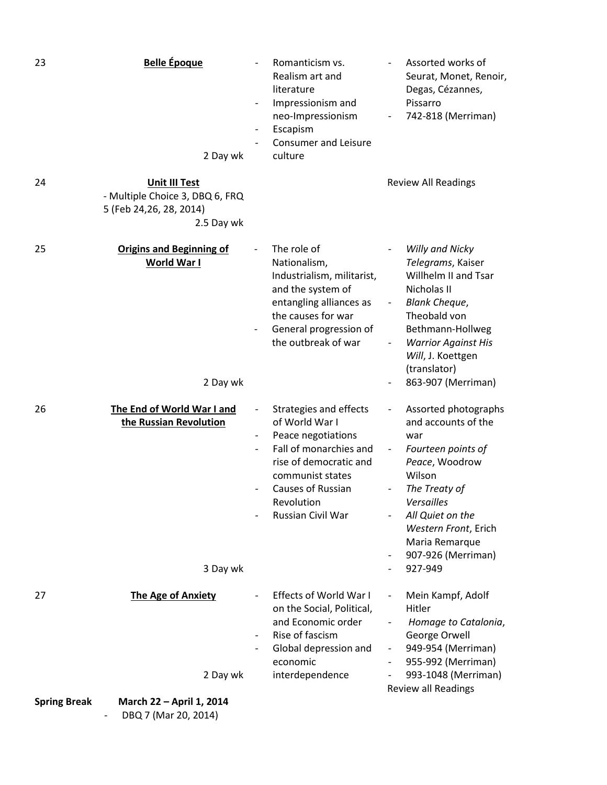| 23                  | <b>Belle Époque</b><br>2 Day wk                                                                   | $\overline{\phantom{a}}$ | Romanticism vs.<br>Realism art and<br>literature<br>Impressionism and<br>neo-Impressionism<br>Escapism<br><b>Consumer and Leisure</b><br>culture                                               |                                                      | Assorted works of<br>Seurat, Monet, Renoir,<br>Degas, Cézannes,<br>Pissarro<br>742-818 (Merriman)                                                                                                                                       |
|---------------------|---------------------------------------------------------------------------------------------------|--------------------------|------------------------------------------------------------------------------------------------------------------------------------------------------------------------------------------------|------------------------------------------------------|-----------------------------------------------------------------------------------------------------------------------------------------------------------------------------------------------------------------------------------------|
| 24                  | <b>Unit III Test</b><br>- Multiple Choice 3, DBQ 6, FRQ<br>5 (Feb 24, 26, 28, 2014)<br>2.5 Day wk |                          |                                                                                                                                                                                                |                                                      | <b>Review All Readings</b>                                                                                                                                                                                                              |
| 25                  | <b>Origins and Beginning of</b><br>World War I<br>2 Day wk                                        |                          | The role of<br>Nationalism,<br>Industrialism, militarist,<br>and the system of<br>entangling alliances as<br>the causes for war<br>General progression of<br>the outbreak of war               |                                                      | <b>Willy and Nicky</b><br>Telegrams, Kaiser<br>Willhelm II and Tsar<br>Nicholas II<br><b>Blank Cheque,</b><br>Theobald von<br>Bethmann-Hollweg<br><b>Warrior Against His</b><br>Will, J. Koettgen<br>(translator)<br>863-907 (Merriman) |
| 26                  | The End of World War I and<br>the Russian Revolution<br>3 Day wk                                  |                          | Strategies and effects<br>of World War I<br>Peace negotiations<br>Fall of monarchies and<br>rise of democratic and<br>communist states<br>Causes of Russian<br>Revolution<br>Russian Civil War | $\overline{\phantom{a}}$<br>$\overline{\phantom{a}}$ | Assorted photographs<br>and accounts of the<br>war<br>Fourteen points of<br>Peace, Woodrow<br>Wilson<br>The Treaty of<br>Versailles<br>All Quiet on the<br>Western Front, Erich<br>Maria Remarque<br>907-926 (Merriman)<br>927-949      |
| 27                  | <b>The Age of Anxiety</b>                                                                         | $\overline{\phantom{a}}$ | <b>Effects of World War I</b><br>on the Social, Political,<br>and Economic order<br>Rise of fascism<br>Global depression and<br>economic                                                       | $\overline{\phantom{a}}$<br>$\overline{\phantom{a}}$ | Mein Kampf, Adolf<br>Hitler<br>Homage to Catalonia,<br>George Orwell<br>949-954 (Merriman)<br>955-992 (Merriman)                                                                                                                        |
| <b>Spring Break</b> | 2 Day wk<br>March 22 - April 1, 2014                                                              |                          | interdependence                                                                                                                                                                                |                                                      | 993-1048 (Merriman)<br>Review all Readings                                                                                                                                                                                              |
|                     | DBQ 7 (Mar 20, 2014)                                                                              |                          |                                                                                                                                                                                                |                                                      |                                                                                                                                                                                                                                         |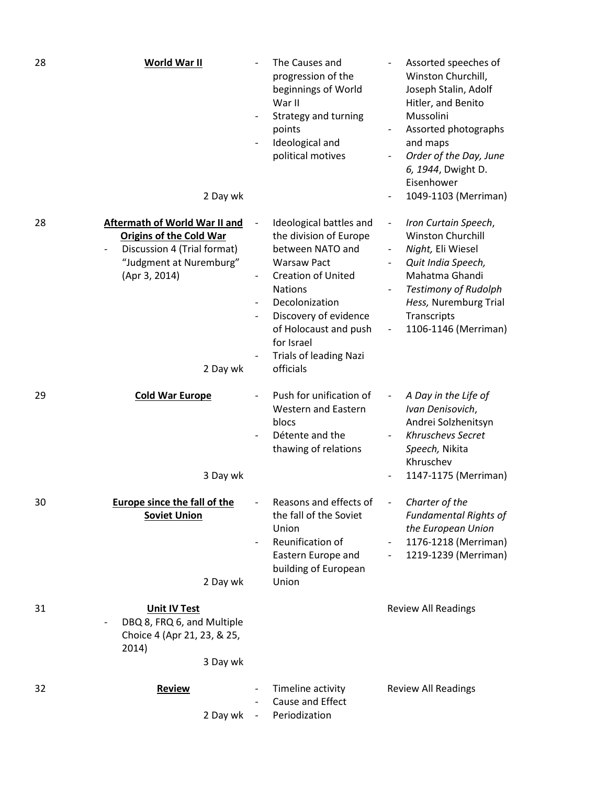| 28 | <b>World War II</b><br>2 Day wk                                                                                                                        |                          | The Causes and<br>progression of the<br>beginnings of World<br>War II<br>Strategy and turning<br>points<br>Ideological and<br>political motives                                                                                                                            | Assorted speeches of<br>Winston Churchill,<br>Joseph Stalin, Adolf<br>Hitler, and Benito<br>Mussolini<br>Assorted photographs<br>and maps<br>Order of the Day, June<br>6, 1944, Dwight D.<br>Eisenhower<br>1049-1103 (Merriman)                                          |
|----|--------------------------------------------------------------------------------------------------------------------------------------------------------|--------------------------|----------------------------------------------------------------------------------------------------------------------------------------------------------------------------------------------------------------------------------------------------------------------------|--------------------------------------------------------------------------------------------------------------------------------------------------------------------------------------------------------------------------------------------------------------------------|
| 28 | Aftermath of World War II and<br><b>Origins of the Cold War</b><br>Discussion 4 (Trial format)<br>"Judgment at Nuremburg"<br>(Apr 3, 2014)<br>2 Day wk |                          | Ideological battles and<br>the division of Europe<br>between NATO and<br><b>Warsaw Pact</b><br><b>Creation of United</b><br><b>Nations</b><br>Decolonization<br>Discovery of evidence<br>of Holocaust and push<br>for Israel<br><b>Trials of leading Nazi</b><br>officials | Iron Curtain Speech,<br>$\qquad \qquad \blacksquare$<br><b>Winston Churchill</b><br>Night, Eli Wiesel<br>$\overline{\phantom{0}}$<br>Quit India Speech,<br>Mahatma Ghandi<br><b>Testimony of Rudolph</b><br>Hess, Nuremburg Trial<br>Transcripts<br>1106-1146 (Merriman) |
| 29 | <b>Cold War Europe</b><br>3 Day wk                                                                                                                     |                          | Push for unification of<br><b>Western and Eastern</b><br>blocs<br>Détente and the<br>thawing of relations                                                                                                                                                                  | A Day in the Life of<br>Ivan Denisovich,<br>Andrei Solzhenitsyn<br>Khruschevs Secret<br>Speech, Nikita<br>Khruschev<br>1147-1175 (Merriman)                                                                                                                              |
| 30 | <b>Europe since the fall of the</b><br><b>Soviet Union</b><br>2 Day wk                                                                                 |                          | Reasons and effects of<br>the fall of the Soviet<br>Union<br>Reunification of<br>Eastern Europe and<br>building of European<br>Union                                                                                                                                       | Charter of the<br>Fundamental Rights of<br>the European Union<br>1176-1218 (Merriman)<br>1219-1239 (Merriman)<br>$\overline{\phantom{a}}$                                                                                                                                |
| 31 | <b>Unit IV Test</b><br>DBQ 8, FRQ 6, and Multiple<br>Choice 4 (Apr 21, 23, & 25,<br>2014)<br>3 Day wk                                                  |                          |                                                                                                                                                                                                                                                                            | <b>Review All Readings</b>                                                                                                                                                                                                                                               |
| 32 | <b>Review</b><br>2 Day wk                                                                                                                              | $\overline{\phantom{a}}$ | Timeline activity<br>Cause and Effect<br>Periodization                                                                                                                                                                                                                     | <b>Review All Readings</b>                                                                                                                                                                                                                                               |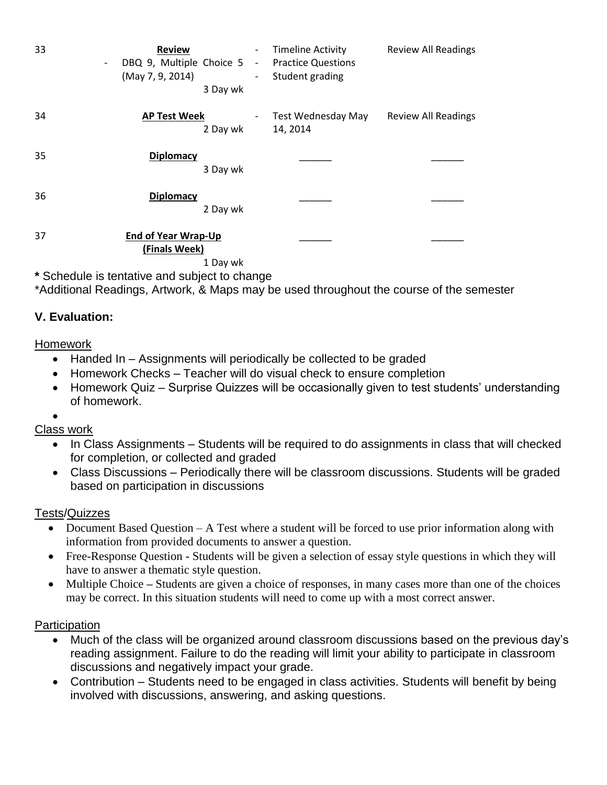| 33 | <b>Review</b><br>DBQ 9, Multiple Choice 5 -<br>$\overline{\phantom{a}}$<br>(May 7, 9, 2014)<br>3 Day wk | <b>Timeline Activity</b><br>$\overline{\phantom{0}}$<br><b>Practice Questions</b><br>Student grading<br>$\overline{\phantom{0}}$ | <b>Review All Readings</b> |
|----|---------------------------------------------------------------------------------------------------------|----------------------------------------------------------------------------------------------------------------------------------|----------------------------|
| 34 | <b>AP Test Week</b><br>2 Day wk                                                                         | Test Wednesday May<br>-<br>14, 2014                                                                                              | <b>Review All Readings</b> |
| 35 | <b>Diplomacy</b><br>3 Day wk                                                                            |                                                                                                                                  |                            |
| 36 | <b>Diplomacy</b><br>2 Day wk                                                                            |                                                                                                                                  |                            |
| 37 | <b>End of Year Wrap-Up</b><br>(Finals Week)<br>1 Day wk                                                 |                                                                                                                                  |                            |

**\*** Schedule is tentative and subject to change

\*Additional Readings, Artwork, & Maps may be used throughout the course of the semester

## **V. Evaluation:**

#### Homework

- Handed In Assignments will periodically be collected to be graded
- Homework Checks Teacher will do visual check to ensure completion
- Homework Quiz Surprise Quizzes will be occasionally given to test students' understanding of homework.
- $\bullet$

## Class work

- In Class Assignments Students will be required to do assignments in class that will checked for completion, or collected and graded
- Class Discussions Periodically there will be classroom discussions. Students will be graded based on participation in discussions

## Tests/Quizzes

- Document Based Question A Test where a student will be forced to use prior information along with information from provided documents to answer a question.
- Free-Response Question **-** Students will be given a selection of essay style questions in which they will have to answer a thematic style question.
- Multiple Choice **–** Students are given a choice of responses, in many cases more than one of the choices may be correct. In this situation students will need to come up with a most correct answer.

## **Participation**

- Much of the class will be organized around classroom discussions based on the previous day's reading assignment. Failure to do the reading will limit your ability to participate in classroom discussions and negatively impact your grade.
- Contribution Students need to be engaged in class activities. Students will benefit by being involved with discussions, answering, and asking questions.